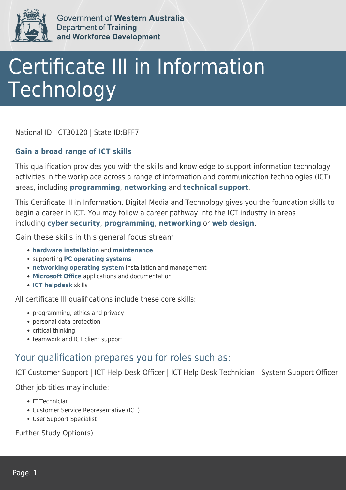

Government of Western Australia **Department of Training** and Workforce Development

## Certificate III in Information Technology

National ID: ICT30120 | State ID:BFF7

## **Gain a broad range of ICT skills**

This qualification provides you with the skills and knowledge to support information technology activities in the workplace across a range of information and communication technologies (ICT) areas, including **programming**, **networking** and **technical support**.

This Certificate III in Information, Digital Media and Technology gives you the foundation skills to begin a career in ICT. You may follow a career pathway into the ICT industry in areas including **cyber security**, **programming**, **networking** or **web design**.

Gain these skills in this general focus stream

- **hardware installation** and **maintenance**
- supporting **PC operating systems**
- **networking operating system** installation and management
- **Microsoft Office** applications and documentation
- **ICT helpdesk** skills

All certificate III qualifications include these core skills:

- programming, ethics and privacy
- personal data protection
- critical thinking
- teamwork and ICT client support

## Your qualification prepares you for roles such as:

ICT Customer Support | ICT Help Desk Officer | ICT Help Desk Technician | System Support Officer

Other job titles may include:

- IT Technician
- Customer Service Representative (ICT)
- User Support Specialist

Further Study Option(s)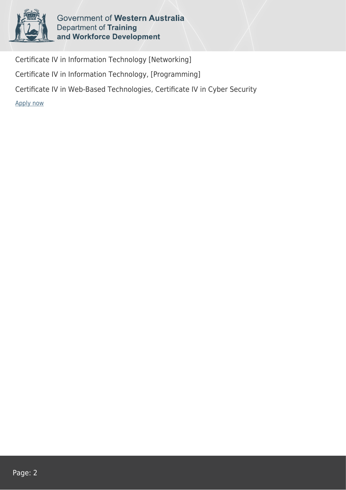

Government of Western Australia **Department of Training** and Workforce Development

Certificate IV in Information Technology [Networking] Certificate IV in Information Technology, [Programming] Certificate IV in Web-Based Technologies, Certificate IV in Cyber Security [Apply now](https://tasonline.tafe.wa.edu.au/Default.aspx)